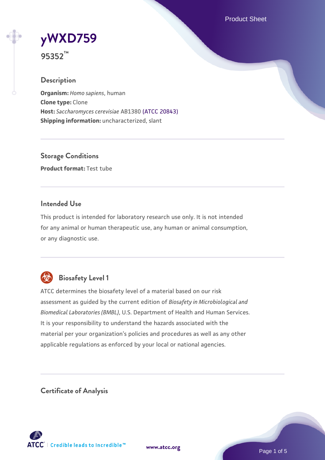Product Sheet

# **[yWXD759](https://www.atcc.org/products/95352)**

**95352™**

## **Description**

**Organism:** *Homo sapiens*, human **Clone type:** Clone **Host:** *Saccharomyces cerevisiae* AB1380 [\(ATCC 20843\)](https://www.atcc.org/products/20843) **Shipping information:** uncharacterized, slant

**Storage Conditions Product format:** Test tube

#### **Intended Use**

This product is intended for laboratory research use only. It is not intended for any animal or human therapeutic use, any human or animal consumption, or any diagnostic use.



# **Biosafety Level 1**

ATCC determines the biosafety level of a material based on our risk assessment as guided by the current edition of *Biosafety in Microbiological and Biomedical Laboratories (BMBL)*, U.S. Department of Health and Human Services. It is your responsibility to understand the hazards associated with the material per your organization's policies and procedures as well as any other applicable regulations as enforced by your local or national agencies.

**Certificate of Analysis**

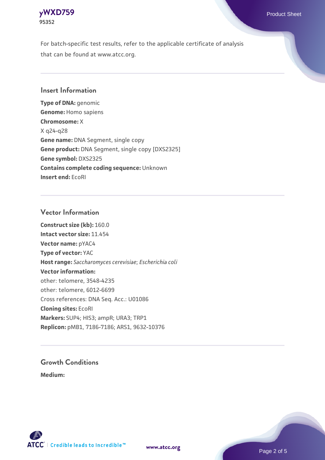

For batch-specific test results, refer to the applicable certificate of analysis that can be found at www.atcc.org.

#### **Insert Information**

**Type of DNA:** genomic **Genome:** Homo sapiens **Chromosome:** X X q24-q28 **Gene name:** DNA Segment, single copy **Gene product:** DNA Segment, single copy [DXS2325] **Gene symbol:** DXS2325 **Contains complete coding sequence:** Unknown **Insert end:** EcoRI

#### **Vector Information**

**Construct size (kb):** 160.0 **Intact vector size:** 11.454 **Vector name:** pYAC4 **Type of vector:** YAC **Host range:** *Saccharomyces cerevisiae*; *Escherichia coli* **Vector information:** other: telomere, 3548-4235 other: telomere, 6012-6699 Cross references: DNA Seq. Acc.: U01086 **Cloning sites:** EcoRI **Markers:** SUP4; HIS3; ampR; URA3; TRP1 **Replicon:** pMB1, 7186-7186; ARS1, 9632-10376

# **Growth Conditions**

**Medium:** 



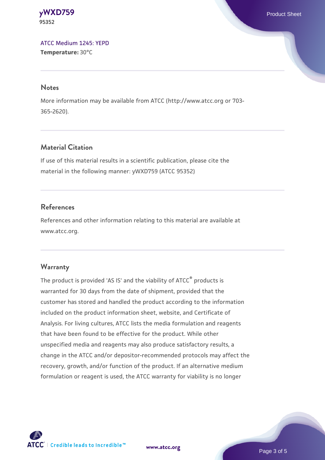**[yWXD759](https://www.atcc.org/products/95352)** Product Sheet **95352**

[ATCC Medium 1245: YEPD](https://www.atcc.org/-/media/product-assets/documents/microbial-media-formulations/1/2/4/5/atcc-medium-1245.pdf?rev=705ca55d1b6f490a808a965d5c072196) **Temperature:** 30°C

#### **Notes**

More information may be available from ATCC (http://www.atcc.org or 703- 365-2620).

#### **Material Citation**

If use of this material results in a scientific publication, please cite the material in the following manner: yWXD759 (ATCC 95352)

#### **References**

References and other information relating to this material are available at www.atcc.org.

#### **Warranty**

The product is provided 'AS IS' and the viability of ATCC® products is warranted for 30 days from the date of shipment, provided that the customer has stored and handled the product according to the information included on the product information sheet, website, and Certificate of Analysis. For living cultures, ATCC lists the media formulation and reagents that have been found to be effective for the product. While other unspecified media and reagents may also produce satisfactory results, a change in the ATCC and/or depositor-recommended protocols may affect the recovery, growth, and/or function of the product. If an alternative medium formulation or reagent is used, the ATCC warranty for viability is no longer



**[www.atcc.org](http://www.atcc.org)**

Page 3 of 5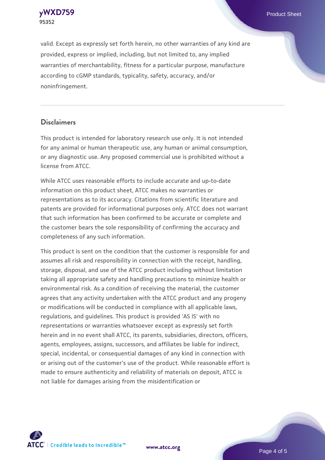**[yWXD759](https://www.atcc.org/products/95352)** Product Sheet **95352**

valid. Except as expressly set forth herein, no other warranties of any kind are provided, express or implied, including, but not limited to, any implied warranties of merchantability, fitness for a particular purpose, manufacture according to cGMP standards, typicality, safety, accuracy, and/or noninfringement.

#### **Disclaimers**

This product is intended for laboratory research use only. It is not intended for any animal or human therapeutic use, any human or animal consumption, or any diagnostic use. Any proposed commercial use is prohibited without a license from ATCC.

While ATCC uses reasonable efforts to include accurate and up-to-date information on this product sheet, ATCC makes no warranties or representations as to its accuracy. Citations from scientific literature and patents are provided for informational purposes only. ATCC does not warrant that such information has been confirmed to be accurate or complete and the customer bears the sole responsibility of confirming the accuracy and completeness of any such information.

This product is sent on the condition that the customer is responsible for and assumes all risk and responsibility in connection with the receipt, handling, storage, disposal, and use of the ATCC product including without limitation taking all appropriate safety and handling precautions to minimize health or environmental risk. As a condition of receiving the material, the customer agrees that any activity undertaken with the ATCC product and any progeny or modifications will be conducted in compliance with all applicable laws, regulations, and guidelines. This product is provided 'AS IS' with no representations or warranties whatsoever except as expressly set forth herein and in no event shall ATCC, its parents, subsidiaries, directors, officers, agents, employees, assigns, successors, and affiliates be liable for indirect, special, incidental, or consequential damages of any kind in connection with or arising out of the customer's use of the product. While reasonable effort is made to ensure authenticity and reliability of materials on deposit, ATCC is not liable for damages arising from the misidentification or



**[www.atcc.org](http://www.atcc.org)**

Page 4 of 5